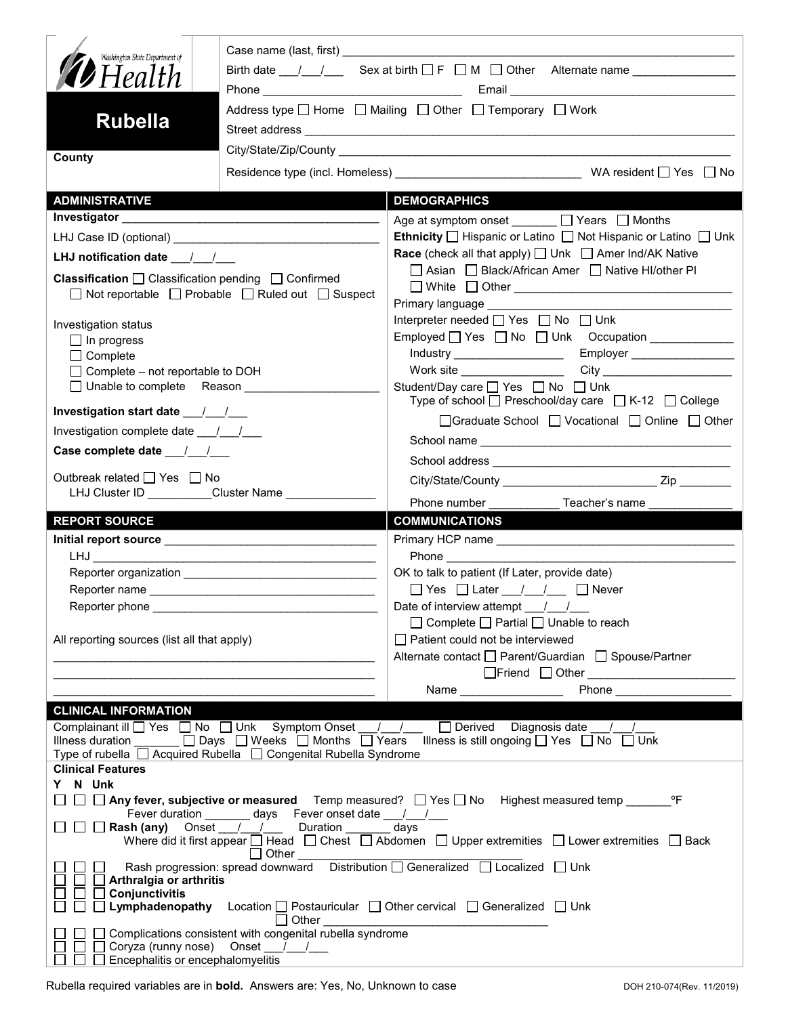| County<br><b>ADMINISTRATIVE</b><br><b>DEMOGRAPHICS</b><br>Age at symptom onset ______ □ Years □ Months<br>Ethnicity □ Hispanic or Latino □ Not Hispanic or Latino □ Unk<br><b>Race</b> (check all that apply) $\Box$ Unk $\Box$ Amer Ind/AK Native<br>LHJ notification date $\frac{1}{2}$<br>□ Asian □ Black/African Amer □ Native HI/other PI<br><b>Classification</b> $\Box$ Classification pending $\Box$ Confirmed<br>$\Box$ Not reportable $\Box$ Probable $\Box$ Ruled out $\Box$ Suspect<br>Primary language ____________<br>Interpreter needed $\Box$ Yes $\Box$ No $\Box$ Unk<br>Investigation status<br>Employed Yes No Unk Occupation<br>$\Box$ In progress<br>Industry _____________________<br>Employer _________________<br>$\Box$ Complete<br>Work site<br>$\Box$ Complete – not reportable to DOH<br>□ Unable to complete Reason ________________<br>Student/Day care □ Yes □ No □ Unk<br>Type of school $\Box$ Preschool/day care $\Box$ K-12 $\Box$ College<br>□Graduate School □ Vocational □ Online □ Other<br>Investigation complete date ___/___/___<br>Case complete date __/_/__/<br>Outbreak related □ Yes □ No<br>LHJ Cluster ID _________Cluster Name ______________<br>Phone number ________________ Teacher's name<br><b>REPORT SOURCE</b><br><b>COMMUNICATIONS</b><br><b>Phone Contract Contract Contract Contract Contract Contract Contract Contract Contract Contract Contract Contract Contract Contract Contract Contract Contract Contract Contract Contract Contract Contract Contract Contra</b><br>OK to talk to patient (If Later, provide date)<br>□ Yes □ Later / / □ Never<br>Reporter phone ________<br>Date of interview attempt / /<br>$\Box$ Complete $\Box$ Partial $\Box$ Unable to reach<br>$\Box$ Patient could not be interviewed<br>All reporting sources (list all that apply)<br>Alternate contact □ Parent/Guardian □ Spouse/Partner<br><b>CLINICAL INFORMATION</b><br>Complainant ill U Yes □ No □ Unk Symptom Onset U U U Derived Diagnosis date U U<br>Illness duration $\Box$ Days $\Box$ Weeks $\Box$ Months $\Box$ Years Illness is still ongoing $\Box$ Yes $\Box$ No $\Box$ Unk<br>Type of rubella □ Acquired Rubella □ Congenital Rubella Syndrome<br><b>Clinical Features</b><br>Y N Unk<br>$\Box~\Box~\Box$ Any fever, subjective or measured  Temp measured? $~\Box$ Yes $\Box$ No  Highest measured temp ______<br>°F<br>Fever duration ________ days Fever onset date ___/___/___<br>□ □ Rash (any) Onset / / Duration _ _ days<br>Where did it first appear □ Head □ Chest □ Abdomen □ Upper extremities □ Lower extremities □ Back<br>$\Box$ Other $\_\_\_\_\_\_\_\_\_\_\_\_$<br>Rash progression: spread downward  Distribution □ Generalized □ Localized □ Unk<br>Arthralgia or arthritis<br>Conjunctivitis<br>$\perp$<br><b>Lymphadenopathy</b> Location $\Box$ Postauricular $\Box$ Other cervical $\Box$ Generalized $\Box$ Unk<br>ℾⅎ<br>$\Box$ Other<br><u> 1980 - Johann Barbara, martin amerikan basar da</u><br>Complications consistent with congenital rubella syndrome<br>Coryza (runny nose) Onset //<br>$\perp$<br>Encephalitis or encephalomyelitis | Washington State Department of<br><b>D</b> Health<br><b>Rubella</b> |  | Birth date $\frac{1}{\sqrt{2}}$ Sex at birth $\Box$ F $\Box$ M $\Box$ Other Alternate name<br>Address type □ Home □ Mailing □ Other □ Temporary □ Work |  |  |  |
|--------------------------------------------------------------------------------------------------------------------------------------------------------------------------------------------------------------------------------------------------------------------------------------------------------------------------------------------------------------------------------------------------------------------------------------------------------------------------------------------------------------------------------------------------------------------------------------------------------------------------------------------------------------------------------------------------------------------------------------------------------------------------------------------------------------------------------------------------------------------------------------------------------------------------------------------------------------------------------------------------------------------------------------------------------------------------------------------------------------------------------------------------------------------------------------------------------------------------------------------------------------------------------------------------------------------------------------------------------------------------------------------------------------------------------------------------------------------------------------------------------------------------------------------------------------------------------------------------------------------------------------------------------------------------------------------------------------------------------------------------------------------------------------------------------------------------------------------------------------------------------------------------------------------------------------------------------------------------------------------------------------------------------------------------------------------------------------------------------------------------------------------------------------------------------------------------------------------------------------------------------------------------------------------------------------------------------------------------------------------------------------------------------------------------------------------------------------------------------------------------------------------------------------------------------------------------------------------------------------------------------------------------------------------------------------------------------------------------------------------------------------------------------------------------------------------------------------------------------------------------------------------------------------------------------------------------------------------------------------------------------------------------------------------------------------------------------------------------------------------------------------------|---------------------------------------------------------------------|--|--------------------------------------------------------------------------------------------------------------------------------------------------------|--|--|--|
|                                                                                                                                                                                                                                                                                                                                                                                                                                                                                                                                                                                                                                                                                                                                                                                                                                                                                                                                                                                                                                                                                                                                                                                                                                                                                                                                                                                                                                                                                                                                                                                                                                                                                                                                                                                                                                                                                                                                                                                                                                                                                                                                                                                                                                                                                                                                                                                                                                                                                                                                                                                                                                                                                                                                                                                                                                                                                                                                                                                                                                                                                                                                            |                                                                     |  |                                                                                                                                                        |  |  |  |
|                                                                                                                                                                                                                                                                                                                                                                                                                                                                                                                                                                                                                                                                                                                                                                                                                                                                                                                                                                                                                                                                                                                                                                                                                                                                                                                                                                                                                                                                                                                                                                                                                                                                                                                                                                                                                                                                                                                                                                                                                                                                                                                                                                                                                                                                                                                                                                                                                                                                                                                                                                                                                                                                                                                                                                                                                                                                                                                                                                                                                                                                                                                                            |                                                                     |  |                                                                                                                                                        |  |  |  |
|                                                                                                                                                                                                                                                                                                                                                                                                                                                                                                                                                                                                                                                                                                                                                                                                                                                                                                                                                                                                                                                                                                                                                                                                                                                                                                                                                                                                                                                                                                                                                                                                                                                                                                                                                                                                                                                                                                                                                                                                                                                                                                                                                                                                                                                                                                                                                                                                                                                                                                                                                                                                                                                                                                                                                                                                                                                                                                                                                                                                                                                                                                                                            |                                                                     |  |                                                                                                                                                        |  |  |  |
|                                                                                                                                                                                                                                                                                                                                                                                                                                                                                                                                                                                                                                                                                                                                                                                                                                                                                                                                                                                                                                                                                                                                                                                                                                                                                                                                                                                                                                                                                                                                                                                                                                                                                                                                                                                                                                                                                                                                                                                                                                                                                                                                                                                                                                                                                                                                                                                                                                                                                                                                                                                                                                                                                                                                                                                                                                                                                                                                                                                                                                                                                                                                            |                                                                     |  |                                                                                                                                                        |  |  |  |
|                                                                                                                                                                                                                                                                                                                                                                                                                                                                                                                                                                                                                                                                                                                                                                                                                                                                                                                                                                                                                                                                                                                                                                                                                                                                                                                                                                                                                                                                                                                                                                                                                                                                                                                                                                                                                                                                                                                                                                                                                                                                                                                                                                                                                                                                                                                                                                                                                                                                                                                                                                                                                                                                                                                                                                                                                                                                                                                                                                                                                                                                                                                                            |                                                                     |  |                                                                                                                                                        |  |  |  |
|                                                                                                                                                                                                                                                                                                                                                                                                                                                                                                                                                                                                                                                                                                                                                                                                                                                                                                                                                                                                                                                                                                                                                                                                                                                                                                                                                                                                                                                                                                                                                                                                                                                                                                                                                                                                                                                                                                                                                                                                                                                                                                                                                                                                                                                                                                                                                                                                                                                                                                                                                                                                                                                                                                                                                                                                                                                                                                                                                                                                                                                                                                                                            |                                                                     |  |                                                                                                                                                        |  |  |  |
|                                                                                                                                                                                                                                                                                                                                                                                                                                                                                                                                                                                                                                                                                                                                                                                                                                                                                                                                                                                                                                                                                                                                                                                                                                                                                                                                                                                                                                                                                                                                                                                                                                                                                                                                                                                                                                                                                                                                                                                                                                                                                                                                                                                                                                                                                                                                                                                                                                                                                                                                                                                                                                                                                                                                                                                                                                                                                                                                                                                                                                                                                                                                            |                                                                     |  |                                                                                                                                                        |  |  |  |
|                                                                                                                                                                                                                                                                                                                                                                                                                                                                                                                                                                                                                                                                                                                                                                                                                                                                                                                                                                                                                                                                                                                                                                                                                                                                                                                                                                                                                                                                                                                                                                                                                                                                                                                                                                                                                                                                                                                                                                                                                                                                                                                                                                                                                                                                                                                                                                                                                                                                                                                                                                                                                                                                                                                                                                                                                                                                                                                                                                                                                                                                                                                                            |                                                                     |  |                                                                                                                                                        |  |  |  |
|                                                                                                                                                                                                                                                                                                                                                                                                                                                                                                                                                                                                                                                                                                                                                                                                                                                                                                                                                                                                                                                                                                                                                                                                                                                                                                                                                                                                                                                                                                                                                                                                                                                                                                                                                                                                                                                                                                                                                                                                                                                                                                                                                                                                                                                                                                                                                                                                                                                                                                                                                                                                                                                                                                                                                                                                                                                                                                                                                                                                                                                                                                                                            |                                                                     |  |                                                                                                                                                        |  |  |  |
|                                                                                                                                                                                                                                                                                                                                                                                                                                                                                                                                                                                                                                                                                                                                                                                                                                                                                                                                                                                                                                                                                                                                                                                                                                                                                                                                                                                                                                                                                                                                                                                                                                                                                                                                                                                                                                                                                                                                                                                                                                                                                                                                                                                                                                                                                                                                                                                                                                                                                                                                                                                                                                                                                                                                                                                                                                                                                                                                                                                                                                                                                                                                            |                                                                     |  |                                                                                                                                                        |  |  |  |
|                                                                                                                                                                                                                                                                                                                                                                                                                                                                                                                                                                                                                                                                                                                                                                                                                                                                                                                                                                                                                                                                                                                                                                                                                                                                                                                                                                                                                                                                                                                                                                                                                                                                                                                                                                                                                                                                                                                                                                                                                                                                                                                                                                                                                                                                                                                                                                                                                                                                                                                                                                                                                                                                                                                                                                                                                                                                                                                                                                                                                                                                                                                                            |                                                                     |  |                                                                                                                                                        |  |  |  |
|                                                                                                                                                                                                                                                                                                                                                                                                                                                                                                                                                                                                                                                                                                                                                                                                                                                                                                                                                                                                                                                                                                                                                                                                                                                                                                                                                                                                                                                                                                                                                                                                                                                                                                                                                                                                                                                                                                                                                                                                                                                                                                                                                                                                                                                                                                                                                                                                                                                                                                                                                                                                                                                                                                                                                                                                                                                                                                                                                                                                                                                                                                                                            |                                                                     |  |                                                                                                                                                        |  |  |  |
|                                                                                                                                                                                                                                                                                                                                                                                                                                                                                                                                                                                                                                                                                                                                                                                                                                                                                                                                                                                                                                                                                                                                                                                                                                                                                                                                                                                                                                                                                                                                                                                                                                                                                                                                                                                                                                                                                                                                                                                                                                                                                                                                                                                                                                                                                                                                                                                                                                                                                                                                                                                                                                                                                                                                                                                                                                                                                                                                                                                                                                                                                                                                            |                                                                     |  |                                                                                                                                                        |  |  |  |
|                                                                                                                                                                                                                                                                                                                                                                                                                                                                                                                                                                                                                                                                                                                                                                                                                                                                                                                                                                                                                                                                                                                                                                                                                                                                                                                                                                                                                                                                                                                                                                                                                                                                                                                                                                                                                                                                                                                                                                                                                                                                                                                                                                                                                                                                                                                                                                                                                                                                                                                                                                                                                                                                                                                                                                                                                                                                                                                                                                                                                                                                                                                                            |                                                                     |  |                                                                                                                                                        |  |  |  |
|                                                                                                                                                                                                                                                                                                                                                                                                                                                                                                                                                                                                                                                                                                                                                                                                                                                                                                                                                                                                                                                                                                                                                                                                                                                                                                                                                                                                                                                                                                                                                                                                                                                                                                                                                                                                                                                                                                                                                                                                                                                                                                                                                                                                                                                                                                                                                                                                                                                                                                                                                                                                                                                                                                                                                                                                                                                                                                                                                                                                                                                                                                                                            |                                                                     |  |                                                                                                                                                        |  |  |  |
|                                                                                                                                                                                                                                                                                                                                                                                                                                                                                                                                                                                                                                                                                                                                                                                                                                                                                                                                                                                                                                                                                                                                                                                                                                                                                                                                                                                                                                                                                                                                                                                                                                                                                                                                                                                                                                                                                                                                                                                                                                                                                                                                                                                                                                                                                                                                                                                                                                                                                                                                                                                                                                                                                                                                                                                                                                                                                                                                                                                                                                                                                                                                            |                                                                     |  |                                                                                                                                                        |  |  |  |
|                                                                                                                                                                                                                                                                                                                                                                                                                                                                                                                                                                                                                                                                                                                                                                                                                                                                                                                                                                                                                                                                                                                                                                                                                                                                                                                                                                                                                                                                                                                                                                                                                                                                                                                                                                                                                                                                                                                                                                                                                                                                                                                                                                                                                                                                                                                                                                                                                                                                                                                                                                                                                                                                                                                                                                                                                                                                                                                                                                                                                                                                                                                                            |                                                                     |  |                                                                                                                                                        |  |  |  |
|                                                                                                                                                                                                                                                                                                                                                                                                                                                                                                                                                                                                                                                                                                                                                                                                                                                                                                                                                                                                                                                                                                                                                                                                                                                                                                                                                                                                                                                                                                                                                                                                                                                                                                                                                                                                                                                                                                                                                                                                                                                                                                                                                                                                                                                                                                                                                                                                                                                                                                                                                                                                                                                                                                                                                                                                                                                                                                                                                                                                                                                                                                                                            |                                                                     |  |                                                                                                                                                        |  |  |  |
|                                                                                                                                                                                                                                                                                                                                                                                                                                                                                                                                                                                                                                                                                                                                                                                                                                                                                                                                                                                                                                                                                                                                                                                                                                                                                                                                                                                                                                                                                                                                                                                                                                                                                                                                                                                                                                                                                                                                                                                                                                                                                                                                                                                                                                                                                                                                                                                                                                                                                                                                                                                                                                                                                                                                                                                                                                                                                                                                                                                                                                                                                                                                            |                                                                     |  |                                                                                                                                                        |  |  |  |
|                                                                                                                                                                                                                                                                                                                                                                                                                                                                                                                                                                                                                                                                                                                                                                                                                                                                                                                                                                                                                                                                                                                                                                                                                                                                                                                                                                                                                                                                                                                                                                                                                                                                                                                                                                                                                                                                                                                                                                                                                                                                                                                                                                                                                                                                                                                                                                                                                                                                                                                                                                                                                                                                                                                                                                                                                                                                                                                                                                                                                                                                                                                                            |                                                                     |  |                                                                                                                                                        |  |  |  |
|                                                                                                                                                                                                                                                                                                                                                                                                                                                                                                                                                                                                                                                                                                                                                                                                                                                                                                                                                                                                                                                                                                                                                                                                                                                                                                                                                                                                                                                                                                                                                                                                                                                                                                                                                                                                                                                                                                                                                                                                                                                                                                                                                                                                                                                                                                                                                                                                                                                                                                                                                                                                                                                                                                                                                                                                                                                                                                                                                                                                                                                                                                                                            |                                                                     |  |                                                                                                                                                        |  |  |  |
|                                                                                                                                                                                                                                                                                                                                                                                                                                                                                                                                                                                                                                                                                                                                                                                                                                                                                                                                                                                                                                                                                                                                                                                                                                                                                                                                                                                                                                                                                                                                                                                                                                                                                                                                                                                                                                                                                                                                                                                                                                                                                                                                                                                                                                                                                                                                                                                                                                                                                                                                                                                                                                                                                                                                                                                                                                                                                                                                                                                                                                                                                                                                            |                                                                     |  |                                                                                                                                                        |  |  |  |
|                                                                                                                                                                                                                                                                                                                                                                                                                                                                                                                                                                                                                                                                                                                                                                                                                                                                                                                                                                                                                                                                                                                                                                                                                                                                                                                                                                                                                                                                                                                                                                                                                                                                                                                                                                                                                                                                                                                                                                                                                                                                                                                                                                                                                                                                                                                                                                                                                                                                                                                                                                                                                                                                                                                                                                                                                                                                                                                                                                                                                                                                                                                                            |                                                                     |  |                                                                                                                                                        |  |  |  |
|                                                                                                                                                                                                                                                                                                                                                                                                                                                                                                                                                                                                                                                                                                                                                                                                                                                                                                                                                                                                                                                                                                                                                                                                                                                                                                                                                                                                                                                                                                                                                                                                                                                                                                                                                                                                                                                                                                                                                                                                                                                                                                                                                                                                                                                                                                                                                                                                                                                                                                                                                                                                                                                                                                                                                                                                                                                                                                                                                                                                                                                                                                                                            |                                                                     |  |                                                                                                                                                        |  |  |  |
|                                                                                                                                                                                                                                                                                                                                                                                                                                                                                                                                                                                                                                                                                                                                                                                                                                                                                                                                                                                                                                                                                                                                                                                                                                                                                                                                                                                                                                                                                                                                                                                                                                                                                                                                                                                                                                                                                                                                                                                                                                                                                                                                                                                                                                                                                                                                                                                                                                                                                                                                                                                                                                                                                                                                                                                                                                                                                                                                                                                                                                                                                                                                            |                                                                     |  |                                                                                                                                                        |  |  |  |
|                                                                                                                                                                                                                                                                                                                                                                                                                                                                                                                                                                                                                                                                                                                                                                                                                                                                                                                                                                                                                                                                                                                                                                                                                                                                                                                                                                                                                                                                                                                                                                                                                                                                                                                                                                                                                                                                                                                                                                                                                                                                                                                                                                                                                                                                                                                                                                                                                                                                                                                                                                                                                                                                                                                                                                                                                                                                                                                                                                                                                                                                                                                                            |                                                                     |  |                                                                                                                                                        |  |  |  |
|                                                                                                                                                                                                                                                                                                                                                                                                                                                                                                                                                                                                                                                                                                                                                                                                                                                                                                                                                                                                                                                                                                                                                                                                                                                                                                                                                                                                                                                                                                                                                                                                                                                                                                                                                                                                                                                                                                                                                                                                                                                                                                                                                                                                                                                                                                                                                                                                                                                                                                                                                                                                                                                                                                                                                                                                                                                                                                                                                                                                                                                                                                                                            |                                                                     |  |                                                                                                                                                        |  |  |  |
|                                                                                                                                                                                                                                                                                                                                                                                                                                                                                                                                                                                                                                                                                                                                                                                                                                                                                                                                                                                                                                                                                                                                                                                                                                                                                                                                                                                                                                                                                                                                                                                                                                                                                                                                                                                                                                                                                                                                                                                                                                                                                                                                                                                                                                                                                                                                                                                                                                                                                                                                                                                                                                                                                                                                                                                                                                                                                                                                                                                                                                                                                                                                            |                                                                     |  |                                                                                                                                                        |  |  |  |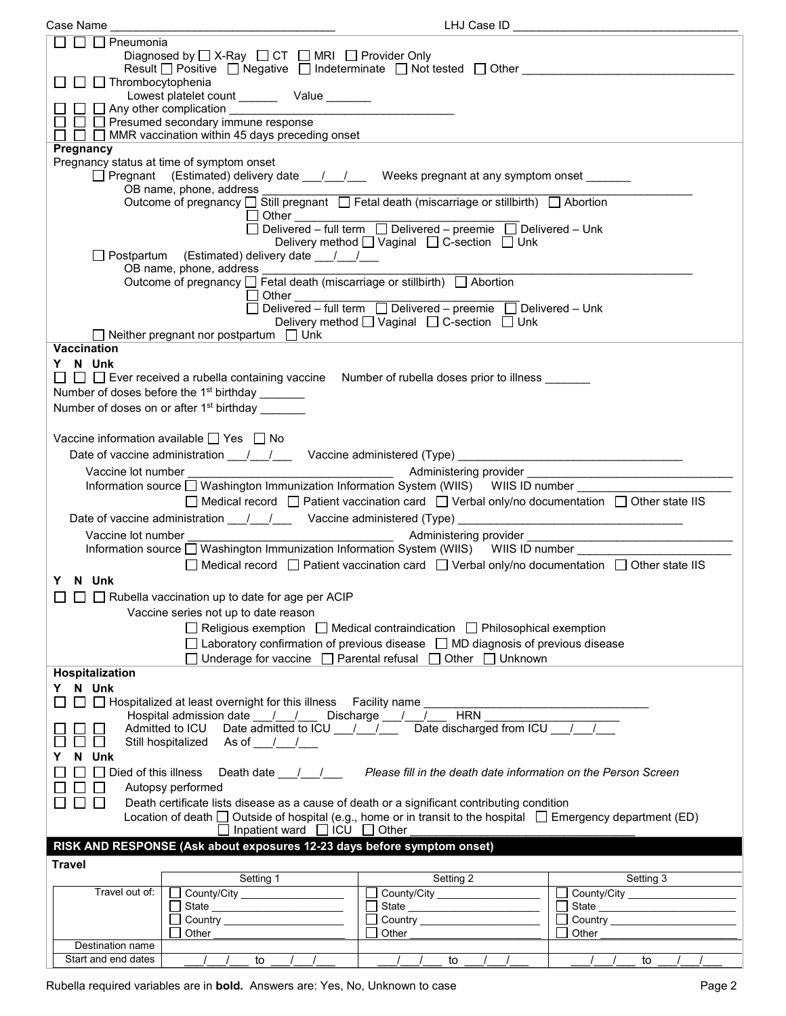| Case Name                                                                                  |                                                                                                                                                | LHJ Case ID                                                                                                      |                             |  |  |
|--------------------------------------------------------------------------------------------|------------------------------------------------------------------------------------------------------------------------------------------------|------------------------------------------------------------------------------------------------------------------|-----------------------------|--|--|
| $\Box$ $\Box$ Pneumonia                                                                    |                                                                                                                                                |                                                                                                                  |                             |  |  |
|                                                                                            | Diagnosed by $\Box$ X-Ray $\Box$ CT $\Box$ MRI $\Box$ Provider Only                                                                            |                                                                                                                  |                             |  |  |
|                                                                                            | Result $\Box$ Positive $\Box$ Negative $\Box$ Indeterminate $\Box$ Not tested $\Box$ Other                                                     |                                                                                                                  |                             |  |  |
| $\Box$ $\Box$ Thrombocytophenia                                                            |                                                                                                                                                |                                                                                                                  |                             |  |  |
|                                                                                            | Lowest platelet count _________ Value _______                                                                                                  |                                                                                                                  |                             |  |  |
|                                                                                            |                                                                                                                                                |                                                                                                                  |                             |  |  |
|                                                                                            | $\Box$ $\Box$ Presumed secondary immune response                                                                                               |                                                                                                                  |                             |  |  |
|                                                                                            | $\Box$ $\Box$ MMR vaccination within 45 days preceding onset                                                                                   |                                                                                                                  |                             |  |  |
| Pregnancy                                                                                  |                                                                                                                                                |                                                                                                                  |                             |  |  |
|                                                                                            | Pregnancy status at time of symptom onset                                                                                                      |                                                                                                                  |                             |  |  |
| □ Pregnant (Estimated) delivery date ___/___/ Weeks pregnant at any symptom onset ______   |                                                                                                                                                |                                                                                                                  |                             |  |  |
| OB name, phone, address                                                                    |                                                                                                                                                |                                                                                                                  |                             |  |  |
| Outcome of pregnancy □ Still pregnant □ Fetal death (miscarriage or stillbirth) □ Abortion |                                                                                                                                                |                                                                                                                  |                             |  |  |
|                                                                                            |                                                                                                                                                |                                                                                                                  |                             |  |  |
|                                                                                            |                                                                                                                                                |                                                                                                                  |                             |  |  |
|                                                                                            |                                                                                                                                                | Delivery method [ Vaginal [ C-section [ ] Unk                                                                    |                             |  |  |
|                                                                                            | □ Postpartum (Estimated) delivery date __/__/__                                                                                                |                                                                                                                  |                             |  |  |
|                                                                                            | OB name, phone, address $\overline{\phantom{a}}$ Fetal death (miscarriage or stillbirth) $\Box$ Abortion                                       |                                                                                                                  |                             |  |  |
|                                                                                            |                                                                                                                                                |                                                                                                                  |                             |  |  |
|                                                                                            |                                                                                                                                                |                                                                                                                  |                             |  |  |
|                                                                                            |                                                                                                                                                | Delivery method [ Vaginal [ C-section [ Unk                                                                      |                             |  |  |
|                                                                                            | $\Box$ Neither pregnant nor postpartum $\Box$ Unk                                                                                              |                                                                                                                  |                             |  |  |
| <b>Vaccination</b>                                                                         |                                                                                                                                                |                                                                                                                  |                             |  |  |
| Y N Unk                                                                                    |                                                                                                                                                |                                                                                                                  |                             |  |  |
|                                                                                            | $\Box$ $\Box$ Ever received a rubella containing vaccine Number of rubella doses prior to illness $\_\_$                                       |                                                                                                                  |                             |  |  |
|                                                                                            | Number of doses before the 1 <sup>st</sup> birthday _______                                                                                    |                                                                                                                  |                             |  |  |
|                                                                                            | Number of doses on or after 1 <sup>st</sup> birthday                                                                                           |                                                                                                                  |                             |  |  |
|                                                                                            |                                                                                                                                                |                                                                                                                  |                             |  |  |
|                                                                                            |                                                                                                                                                |                                                                                                                  |                             |  |  |
|                                                                                            | Vaccine information available $\Box$ Yes $\Box$ No                                                                                             |                                                                                                                  |                             |  |  |
|                                                                                            | Date of vaccine administration ____/ ___/ ____ Vaccine administered (Type) __________________________________                                  |                                                                                                                  |                             |  |  |
|                                                                                            |                                                                                                                                                |                                                                                                                  |                             |  |  |
|                                                                                            | Information source □ Washington Immunization Information System (WIIS) WIIS ID number                                                          |                                                                                                                  |                             |  |  |
|                                                                                            |                                                                                                                                                | $\Box$ Medical record $\Box$ Patient vaccination card $\Box$ Verbal only/no documentation $\Box$ Other state IIS |                             |  |  |
|                                                                                            |                                                                                                                                                |                                                                                                                  |                             |  |  |
| Date of vaccine administration 1. 1. Vaccine administered (Type)                           |                                                                                                                                                |                                                                                                                  |                             |  |  |
|                                                                                            |                                                                                                                                                |                                                                                                                  |                             |  |  |
|                                                                                            |                                                                                                                                                |                                                                                                                  |                             |  |  |
|                                                                                            | Information source □ Washington Immunization Information System (WIIS) WIIS ID number ________                                                 |                                                                                                                  |                             |  |  |
|                                                                                            |                                                                                                                                                | $\Box$ Medical record $\Box$ Patient vaccination card $\Box$ Verbal only/no documentation $\Box$ Other state IIS |                             |  |  |
| Y N Unk                                                                                    |                                                                                                                                                |                                                                                                                  |                             |  |  |
|                                                                                            | $\Box$ $\Box$ Rubella vaccination up to date for age per ACIP                                                                                  |                                                                                                                  |                             |  |  |
|                                                                                            | Vaccine series not up to date reason                                                                                                           |                                                                                                                  |                             |  |  |
|                                                                                            |                                                                                                                                                | $\Box$ Religious exemption $\Box$ Medical contraindication $\Box$ Philosophical exemption                        |                             |  |  |
|                                                                                            |                                                                                                                                                | $\Box$ Laboratory confirmation of previous disease $\Box$ MD diagnosis of previous disease                       |                             |  |  |
|                                                                                            |                                                                                                                                                | $\Box$ Underage for vaccine $\Box$ Parental refusal $\Box$ Other $\Box$ Unknown                                  |                             |  |  |
| Hospitalization                                                                            |                                                                                                                                                |                                                                                                                  |                             |  |  |
| Y N Unk                                                                                    |                                                                                                                                                |                                                                                                                  |                             |  |  |
|                                                                                            |                                                                                                                                                |                                                                                                                  |                             |  |  |
|                                                                                            | □ □ Hospitalized at least overnight for this illness Facility name                                                                             |                                                                                                                  |                             |  |  |
|                                                                                            | Hospital admission date ___ / ___ / ___ Discharge ___ / ___ / ___ HRN<br>Admitted to ICU Date admitted to ICU / / Date discharged from ICU / / |                                                                                                                  |                             |  |  |
|                                                                                            | Still hospitalized As of / /                                                                                                                   |                                                                                                                  |                             |  |  |
| N Unk                                                                                      |                                                                                                                                                |                                                                                                                  |                             |  |  |
| $\Box$ Died of this illness                                                                |                                                                                                                                                | Death date 1 1 Please fill in the death date information on the Person Screen                                    |                             |  |  |
|                                                                                            |                                                                                                                                                |                                                                                                                  |                             |  |  |
|                                                                                            | Autopsy performed                                                                                                                              |                                                                                                                  |                             |  |  |
| <b>Contract</b>                                                                            | Death certificate lists disease as a cause of death or a significant contributing condition                                                    |                                                                                                                  |                             |  |  |
|                                                                                            | Location of death $\Box$ Outside of hospital (e.g., home or in transit to the hospital $\Box$ Emergency department (ED)                        |                                                                                                                  |                             |  |  |
|                                                                                            | $\Box$ Inpatient ward $\Box$ ICU $\Box$ Other                                                                                                  |                                                                                                                  |                             |  |  |
|                                                                                            | RISK AND RESPONSE (Ask about exposures 12-23 days before symptom onset)                                                                        |                                                                                                                  |                             |  |  |
| <b>Travel</b>                                                                              |                                                                                                                                                |                                                                                                                  |                             |  |  |
|                                                                                            | Setting 1                                                                                                                                      | Setting 2                                                                                                        | Setting 3                   |  |  |
| Travel out of:                                                                             | County/City __________________                                                                                                                 | County/City                                                                                                      | County/City<br>$\mathbf{I}$ |  |  |
|                                                                                            |                                                                                                                                                | State ____________________________                                                                               |                             |  |  |
|                                                                                            |                                                                                                                                                |                                                                                                                  |                             |  |  |
| Destination name                                                                           | Other                                                                                                                                          | Other                                                                                                            | Other                       |  |  |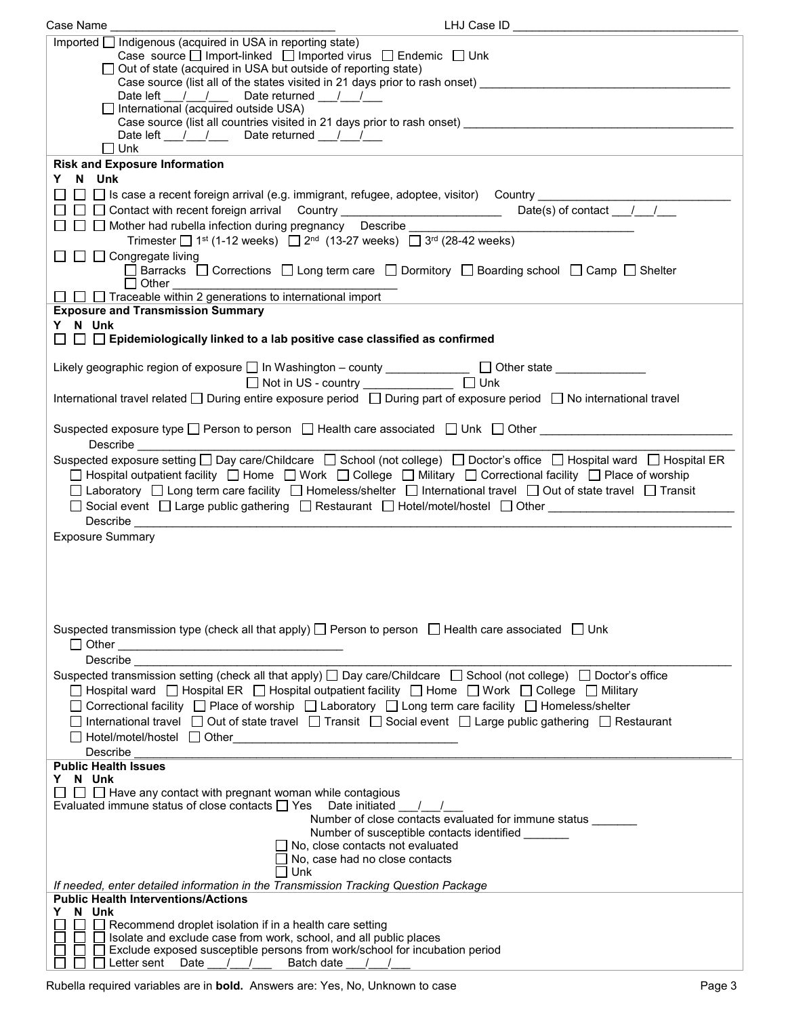| Case Name                                                                                                                                                                                                                                                                                                                                                                                                      | LHJ Case ID                                                                                                                                                                                             |
|----------------------------------------------------------------------------------------------------------------------------------------------------------------------------------------------------------------------------------------------------------------------------------------------------------------------------------------------------------------------------------------------------------------|---------------------------------------------------------------------------------------------------------------------------------------------------------------------------------------------------------|
| Imported   Indigenous (acquired in USA in reporting state)                                                                                                                                                                                                                                                                                                                                                     |                                                                                                                                                                                                         |
|                                                                                                                                                                                                                                                                                                                                                                                                                | Case source $\Box$ Import-linked $\Box$ Imported virus $\Box$ Endemic $\Box$ Unk                                                                                                                        |
| $\Box$ Out of state (acquired in USA but outside of reporting state)                                                                                                                                                                                                                                                                                                                                           |                                                                                                                                                                                                         |
| Date left __/ / Date returned __/ /                                                                                                                                                                                                                                                                                                                                                                            | Case source (list all of the states visited in 21 days prior to rash onset) _________________                                                                                                           |
| $\Box$ International (acquired outside USA)                                                                                                                                                                                                                                                                                                                                                                    |                                                                                                                                                                                                         |
|                                                                                                                                                                                                                                                                                                                                                                                                                | Case source (list all countries visited in 21 days prior to rash onset) ____________________________                                                                                                    |
| Date left $\frac{1}{\sqrt{1-\frac{1}{1-\frac{1}{1-\frac{1}{1-\frac{1}{1-\frac{1}{1-\frac{1}{1-\frac{1}{1-\frac{1}{1-\frac{1}{1-\frac{1}{1-\frac{1}{1-\frac{1}{1-\frac{1}{1-\frac{1}{1-\frac{1}{1-\frac{1}{1-\frac{1}{1-\frac{1}{1-\frac{1}{1-\frac{1}{1-\frac{1}{1-\frac{1}{1-\frac{1}{1-\frac{1}{1-\frac{1}{1-\frac{1}{1-\frac{1}{1-\frac{1}{1-\frac{1}{1-\frac{1}{1-\frac{1}{1-\frac{1}{1-\frac{1}{1-\frac{$ |                                                                                                                                                                                                         |
| $\square$ Unk                                                                                                                                                                                                                                                                                                                                                                                                  |                                                                                                                                                                                                         |
| <b>Risk and Exposure Information</b>                                                                                                                                                                                                                                                                                                                                                                           |                                                                                                                                                                                                         |
| Y N Unk                                                                                                                                                                                                                                                                                                                                                                                                        |                                                                                                                                                                                                         |
|                                                                                                                                                                                                                                                                                                                                                                                                                |                                                                                                                                                                                                         |
|                                                                                                                                                                                                                                                                                                                                                                                                                |                                                                                                                                                                                                         |
| □ □ Mother had rubella infection during pregnancy Describe ____                                                                                                                                                                                                                                                                                                                                                | Trimester $\Box$ 1 <sup>st</sup> (1-12 weeks) $\Box$ 2 <sup>nd</sup> (13-27 weeks) $\Box$ 3 <sup>rd</sup> (28-42 weeks)                                                                                 |
| $\Box$ $\Box$ $\Box$ Congregate living                                                                                                                                                                                                                                                                                                                                                                         |                                                                                                                                                                                                         |
|                                                                                                                                                                                                                                                                                                                                                                                                                | □ Barracks □ Corrections □ Long term care □ Dormitory □ Boarding school □ Camp □ Shelter                                                                                                                |
| $\Box$ Other                                                                                                                                                                                                                                                                                                                                                                                                   |                                                                                                                                                                                                         |
| □ □ Traceable within 2 generations to international import                                                                                                                                                                                                                                                                                                                                                     |                                                                                                                                                                                                         |
| <b>Exposure and Transmission Summary</b>                                                                                                                                                                                                                                                                                                                                                                       |                                                                                                                                                                                                         |
| Y N Unk                                                                                                                                                                                                                                                                                                                                                                                                        |                                                                                                                                                                                                         |
| $\Box$ $\Box$ Epidemiologically linked to a lab positive case classified as confirmed                                                                                                                                                                                                                                                                                                                          |                                                                                                                                                                                                         |
|                                                                                                                                                                                                                                                                                                                                                                                                                | Likely geographic region of exposure □ In Washington - county _____________ □ Other state __________                                                                                                    |
|                                                                                                                                                                                                                                                                                                                                                                                                                | □ Not in US - country ________________ □ Unk                                                                                                                                                            |
|                                                                                                                                                                                                                                                                                                                                                                                                                | International travel related □ During entire exposure period □ During part of exposure period □ No international travel                                                                                 |
|                                                                                                                                                                                                                                                                                                                                                                                                                |                                                                                                                                                                                                         |
|                                                                                                                                                                                                                                                                                                                                                                                                                | Suspected exposure type $\square$ Person to person $\square$ Health care associated $\square$ Unk $\square$ Other                                                                                       |
| Describe                                                                                                                                                                                                                                                                                                                                                                                                       |                                                                                                                                                                                                         |
|                                                                                                                                                                                                                                                                                                                                                                                                                | Suspected exposure setting □ Day care/Childcare □ School (not college) □ Doctor's office □ Hospital ward □ Hospital ER                                                                                  |
|                                                                                                                                                                                                                                                                                                                                                                                                                | □ Hospital outpatient facility □ Home □ Work □ College □ Military □ Correctional facility □ Place of worship                                                                                            |
|                                                                                                                                                                                                                                                                                                                                                                                                                | □ Laboratory □ Long term care facility □ Homeless/shelter □ International travel □ Out of state travel □ Transit                                                                                        |
|                                                                                                                                                                                                                                                                                                                                                                                                                | □ Social event □ Large public gathering □ Restaurant □ Hotel/motel/hostel □ Other                                                                                                                       |
|                                                                                                                                                                                                                                                                                                                                                                                                                |                                                                                                                                                                                                         |
| <b>Exposure Summary</b>                                                                                                                                                                                                                                                                                                                                                                                        |                                                                                                                                                                                                         |
|                                                                                                                                                                                                                                                                                                                                                                                                                |                                                                                                                                                                                                         |
|                                                                                                                                                                                                                                                                                                                                                                                                                |                                                                                                                                                                                                         |
|                                                                                                                                                                                                                                                                                                                                                                                                                |                                                                                                                                                                                                         |
|                                                                                                                                                                                                                                                                                                                                                                                                                |                                                                                                                                                                                                         |
|                                                                                                                                                                                                                                                                                                                                                                                                                |                                                                                                                                                                                                         |
|                                                                                                                                                                                                                                                                                                                                                                                                                | Suspected transmission type (check all that apply) □ Person to person □ Health care associated □ Unk                                                                                                    |
|                                                                                                                                                                                                                                                                                                                                                                                                                |                                                                                                                                                                                                         |
| Describe                                                                                                                                                                                                                                                                                                                                                                                                       | Suspected transmission setting (check all that apply) □ Day care/Childcare □ School (not college) □ Doctor's office                                                                                     |
|                                                                                                                                                                                                                                                                                                                                                                                                                |                                                                                                                                                                                                         |
|                                                                                                                                                                                                                                                                                                                                                                                                                | □ Hospital ward □ Hospital ER □ Hospital outpatient facility □ Home □ Work □ College □ Military<br>□ Correctional facility □ Place of worship □ Laboratory □ Long term care facility □ Homeless/shelter |
|                                                                                                                                                                                                                                                                                                                                                                                                                | □ International travel □ Out of state travel □ Transit □ Social event □ Large public gathering □ Restaurant                                                                                             |
|                                                                                                                                                                                                                                                                                                                                                                                                                |                                                                                                                                                                                                         |
| Describe                                                                                                                                                                                                                                                                                                                                                                                                       |                                                                                                                                                                                                         |
| <b>Public Health Issues</b>                                                                                                                                                                                                                                                                                                                                                                                    |                                                                                                                                                                                                         |
| Y N Unk                                                                                                                                                                                                                                                                                                                                                                                                        |                                                                                                                                                                                                         |
| $\Box$ Have any contact with pregnant woman while contagious                                                                                                                                                                                                                                                                                                                                                   |                                                                                                                                                                                                         |
| Evaluated immune status of close contacts $\Box$ Yes Date initiated / /                                                                                                                                                                                                                                                                                                                                        |                                                                                                                                                                                                         |
|                                                                                                                                                                                                                                                                                                                                                                                                                | Number of close contacts evaluated for immune status _______<br>Number of susceptible contacts identified                                                                                               |
|                                                                                                                                                                                                                                                                                                                                                                                                                | $\Box$ No, close contacts not evaluated                                                                                                                                                                 |
|                                                                                                                                                                                                                                                                                                                                                                                                                | No, case had no close contacts                                                                                                                                                                          |
|                                                                                                                                                                                                                                                                                                                                                                                                                | l Unk                                                                                                                                                                                                   |
| If needed, enter detailed information in the Transmission Tracking Question Package                                                                                                                                                                                                                                                                                                                            |                                                                                                                                                                                                         |
| <b>Public Health Interventions/Actions</b><br>N Unk<br>Y.                                                                                                                                                                                                                                                                                                                                                      |                                                                                                                                                                                                         |
| $\Box$ Recommend droplet isolation if in a health care setting                                                                                                                                                                                                                                                                                                                                                 |                                                                                                                                                                                                         |
| $\Box$ Isolate and exclude case from work, school, and all public places                                                                                                                                                                                                                                                                                                                                       |                                                                                                                                                                                                         |
|                                                                                                                                                                                                                                                                                                                                                                                                                | □ Exclude exposed susceptible persons from work/school for incubation period                                                                                                                            |
| $\Box$ Letter sent Date / /                                                                                                                                                                                                                                                                                                                                                                                    | Batch date                                                                                                                                                                                              |